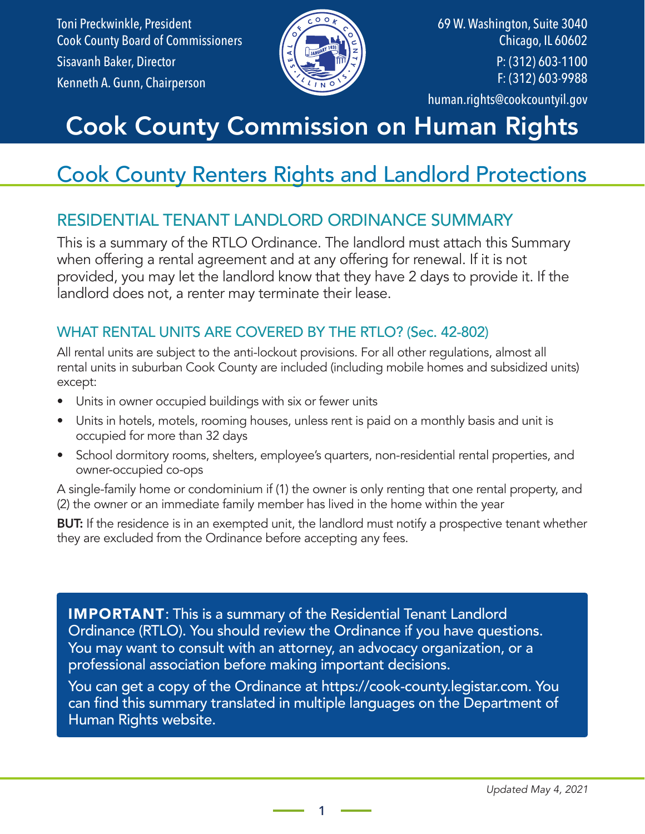Toni Preckwinkle, President Cook County Board of Commissioners Sisavanh Baker, Director Kenneth A. Gunn, Chairperson



69 W. Washington, Suite 3040 Chicago, IL 60602 P: (312) 603-1100 F: (312) 603-9988 human.rights@cookcountyil.gov

# Cook County Commission on Human Rights

# Cook County Renters Rights and Landlord Protections

### RESIDENTIAL TENANT LANDLORD ORDINANCE SUMMARY

This is a summary of the RTLO Ordinance. The landlord must attach this Summary when offering a rental agreement and at any offering for renewal. If it is not provided, you may let the landlord know that they have 2 days to provide it. If the landlord does not, a renter may terminate their lease.

#### WHAT RENTAL UNITS ARE COVERED BY THE RTLO? (Sec. 42-802)

All rental units are subject to the anti-lockout provisions. For all other regulations, almost all rental units in suburban Cook County are included (including mobile homes and subsidized units) except:

- Units in owner occupied buildings with six or fewer units
- Units in hotels, motels, rooming houses, unless rent is paid on a monthly basis and unit is occupied for more than 32 days
- School dormitory rooms, shelters, employee's quarters, non-residential rental properties, and owner-occupied co-ops

A single-family home or condominium if (1) the owner is only renting that one rental property, and (2) the owner or an immediate family member has lived in the home within the year

**BUT:** If the residence is in an exempted unit, the landlord must notify a prospective tenant whether they are excluded from the Ordinance before accepting any fees.

**IMPORTANT:** This is a summary of the Residential Tenant Landlord Ordinance (RTLO). You should review the Ordinance if you have questions. You may want to consult with an attorney, an advocacy organization, or a professional association before making important decisions.

You can get a copy of the Ordinance at https://cook-county.legistar.com. You can find this summary translated in multiple languages on the Department of Human Rights website.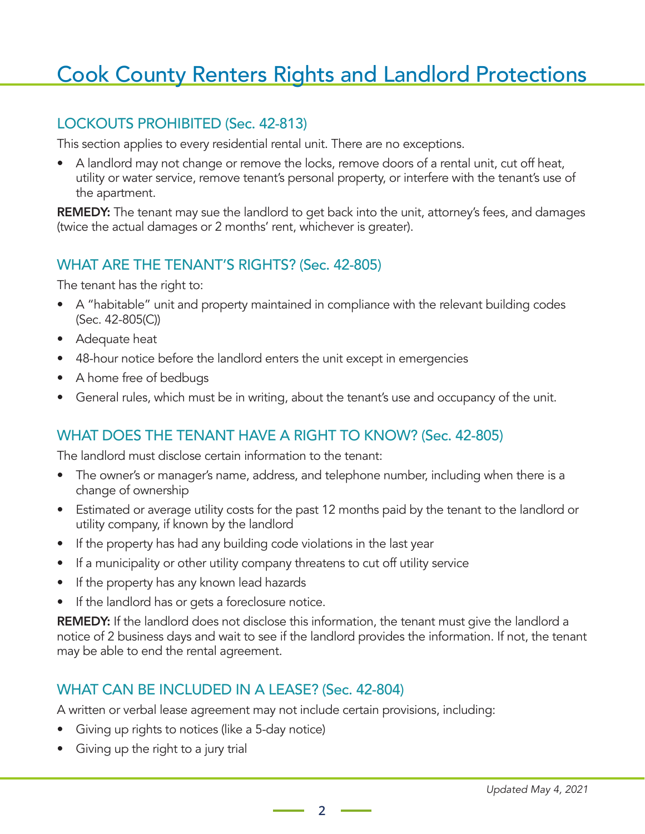#### LOCKOUTS PROHIBITED (Sec. 42-813)

This section applies to every residential rental unit. There are no exceptions.

• A landlord may not change or remove the locks, remove doors of a rental unit, cut off heat, utility or water service, remove tenant's personal property, or interfere with the tenant's use of the apartment.

**REMEDY:** The tenant may sue the landlord to get back into the unit, attorney's fees, and damages (twice the actual damages or 2 months' rent, whichever is greater).

#### WHAT ARE THE TENANT'S RIGHTS? (Sec. 42-805)

The tenant has the right to:

- A "habitable" unit and property maintained in compliance with the relevant building codes (Sec. 42-805(C))
- Adequate heat
- 48-hour notice before the landlord enters the unit except in emergencies
- A home free of bedbugs
- General rules, which must be in writing, about the tenant's use and occupancy of the unit.

#### WHAT DOES THE TENANT HAVE A RIGHT TO KNOW? (Sec. 42-805)

The landlord must disclose certain information to the tenant:

- The owner's or manager's name, address, and telephone number, including when there is a change of ownership
- Estimated or average utility costs for the past 12 months paid by the tenant to the landlord or utility company, if known by the landlord
- If the property has had any building code violations in the last year
- If a municipality or other utility company threatens to cut off utility service
- If the property has any known lead hazards
- If the landlord has or gets a foreclosure notice.

REMEDY: If the landlord does not disclose this information, the tenant must give the landlord a notice of 2 business days and wait to see if the landlord provides the information. If not, the tenant may be able to end the rental agreement.

#### WHAT CAN BE INCLUDED IN A LEASE? (Sec. 42-804)

A written or verbal lease agreement may not include certain provisions, including:

- Giving up rights to notices (like a 5-day notice)
- Giving up the right to a jury trial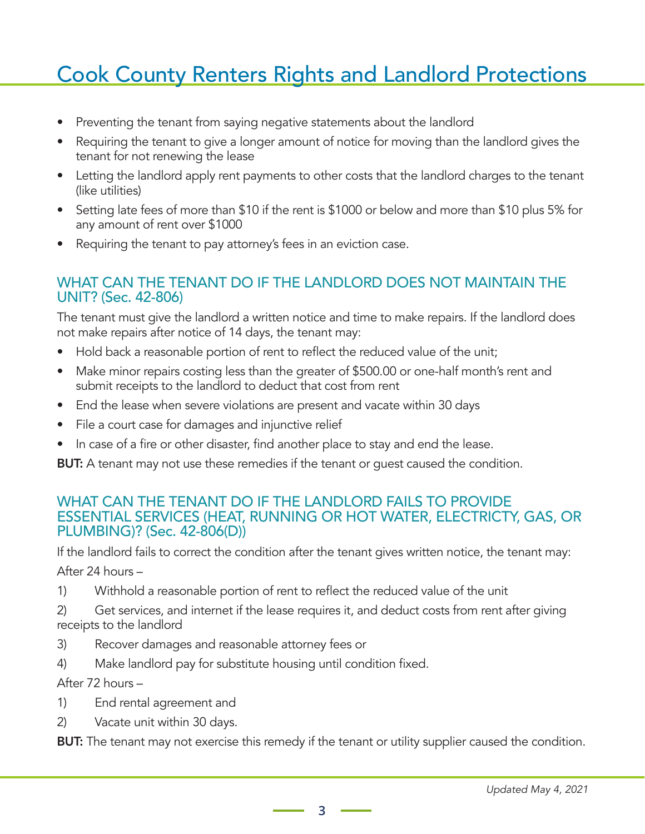- Preventing the tenant from saying negative statements about the landlord
- Requiring the tenant to give a longer amount of notice for moving than the landlord gives the tenant for not renewing the lease
- Letting the landlord apply rent payments to other costs that the landlord charges to the tenant (like utilities)
- Setting late fees of more than \$10 if the rent is \$1000 or below and more than \$10 plus 5% for any amount of rent over \$1000
- Requiring the tenant to pay attorney's fees in an eviction case.

#### WHAT CAN THE TENANT DO IF THE LANDLORD DOES NOT MAINTAIN THE UNIT? (Sec. 42-806)

The tenant must give the landlord a written notice and time to make repairs. If the landlord does not make repairs after notice of 14 days, the tenant may:

- Hold back a reasonable portion of rent to reflect the reduced value of the unit;
- Make minor repairs costing less than the greater of \$500.00 or one-half month's rent and submit receipts to the landlord to deduct that cost from rent
- End the lease when severe violations are present and vacate within 30 days
- File a court case for damages and injunctive relief
- In case of a fire or other disaster, find another place to stay and end the lease.

**BUT:** A tenant may not use these remedies if the tenant or guest caused the condition.

#### WHAT CAN THE TENANT DO IF THE LANDLORD FAILS TO PROVIDE ESSENTIAL SERVICES (HEAT, RUNNING OR HOT WATER, ELECTRICTY, GAS, OR PLUMBING)? (Sec. 42-806(D))

If the landlord fails to correct the condition after the tenant gives written notice, the tenant may:

After 24 hours –

- 1) Withhold a reasonable portion of rent to reflect the reduced value of the unit
- 2) Get services, and internet if the lease requires it, and deduct costs from rent after giving receipts to the landlord
- 3) Recover damages and reasonable attorney fees or
- 4) Make landlord pay for substitute housing until condition fixed.

After 72 hours –

- 1) End rental agreement and
- 2) Vacate unit within 30 days.

**BUT:** The tenant may not exercise this remedy if the tenant or utility supplier caused the condition.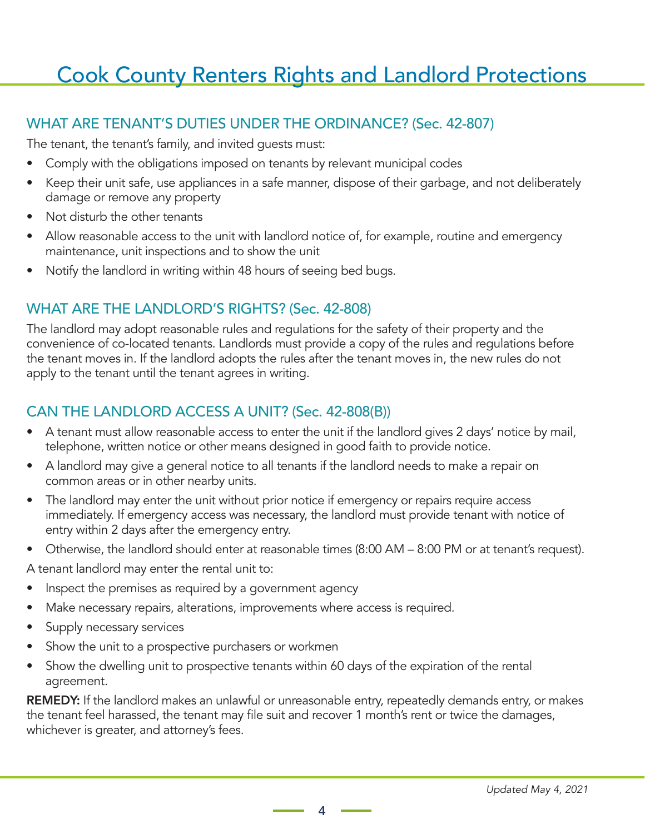#### WHAT ARE TENANT'S DUTIES UNDER THE ORDINANCE? (Sec. 42-807)

The tenant, the tenant's family, and invited guests must:

- Comply with the obligations imposed on tenants by relevant municipal codes
- Keep their unit safe, use appliances in a safe manner, dispose of their garbage, and not deliberately damage or remove any property
- Not disturb the other tenants
- Allow reasonable access to the unit with landlord notice of, for example, routine and emergency maintenance, unit inspections and to show the unit
- Notify the landlord in writing within 48 hours of seeing bed bugs.

#### WHAT ARE THE LANDLORD'S RIGHTS? (Sec. 42-808)

The landlord may adopt reasonable rules and regulations for the safety of their property and the convenience of co-located tenants. Landlords must provide a copy of the rules and regulations before the tenant moves in. If the landlord adopts the rules after the tenant moves in, the new rules do not apply to the tenant until the tenant agrees in writing.

#### CAN THE LANDLORD ACCESS A UNIT? (Sec. 42-808(B))

- A tenant must allow reasonable access to enter the unit if the landlord gives 2 days' notice by mail, telephone, written notice or other means designed in good faith to provide notice.
- A landlord may give a general notice to all tenants if the landlord needs to make a repair on common areas or in other nearby units.
- The landlord may enter the unit without prior notice if emergency or repairs require access immediately. If emergency access was necessary, the landlord must provide tenant with notice of entry within 2 days after the emergency entry.
- Otherwise, the landlord should enter at reasonable times (8:00 AM 8:00 PM or at tenant's request).

A tenant landlord may enter the rental unit to:

- Inspect the premises as required by a government agency
- Make necessary repairs, alterations, improvements where access is required.
- Supply necessary services
- Show the unit to a prospective purchasers or workmen
- Show the dwelling unit to prospective tenants within 60 days of the expiration of the rental agreement.

REMEDY: If the landlord makes an unlawful or unreasonable entry, repeatedly demands entry, or makes the tenant feel harassed, the tenant may file suit and recover 1 month's rent or twice the damages, whichever is greater, and attorney's fees.

 $-4 =$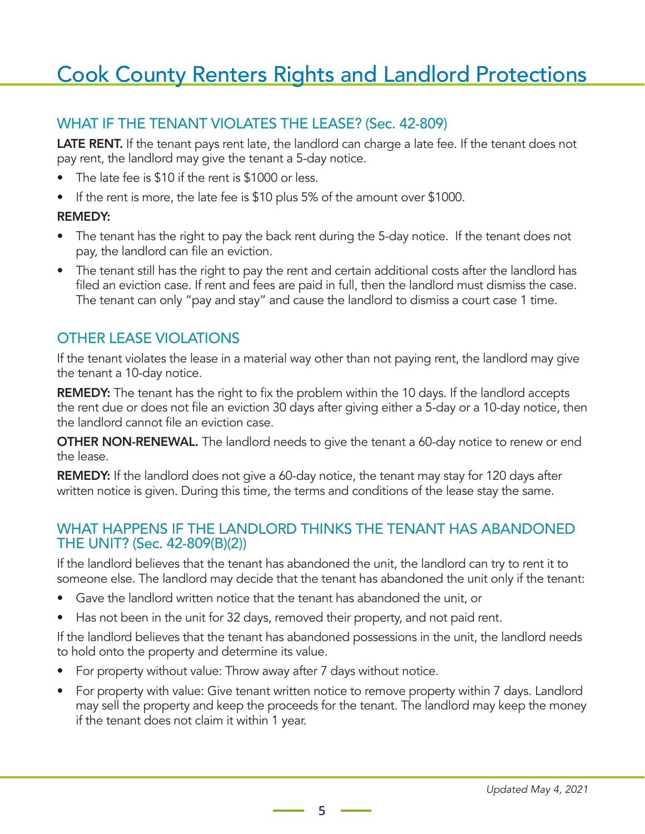#### WHAT IF THE TENANT VIOLATES THE LEASE? (Sec. 42-809)

LATE RENT. If the tenant pays rent late, the landlord can charge a late fee. If the tenant does not pay rent, the landlord may give the tenant a 5-day notice.

- The late fee is \$10 if the rent is \$1000 or less.
- If the rent is more, the late fee is \$10 plus 5% of the amount over \$1000.

#### REMEDY:

- The tenant has the right to pay the back rent during the 5-day notice. If the tenant does not pay, the landlord can file an eviction.
- The tenant still has the right to pay the rent and certain additional costs after the landlord has filed an eviction case. If rent and fees are paid in full, then the landlord must dismiss the case. The tenant can only "pay and stay" and cause the landlord to dismiss a court case 1 time.

#### OTHER LEASE VIOLATIONS

If the tenant violates the lease in a material way other than not paying rent, the landlord may give the tenant a 10-day notice.

**REMEDY:** The tenant has the right to fix the problem within the 10 days. If the landlord accepts the rent due or does not file an eviction 30 days after giving either a 5-day or a 10-day notice, then the landlord cannot file an eviction case.

**OTHER NON-RENEWAL.** The landlord needs to give the tenant a 60-day notice to renew or end the lease.

REMEDY: If the landlord does not give a 60-day notice, the tenant may stay for 120 days after written notice is given. During this time, the terms and conditions of the lease stay the same.

#### WHAT HAPPENS IF THE LANDLORD THINKS THE TENANT HAS ABANDONED THE UNIT? (Sec. 42-809(B)(2))

If the landlord believes that the tenant has abandoned the unit, the landlord can try to rent it to someone else. The landlord may decide that the tenant has abandoned the unit only if the tenant:

- Gave the landlord written notice that the tenant has abandoned the unit, or
- Has not been in the unit for 32 days, removed their property, and not paid rent.

If the landlord believes that the tenant has abandoned possessions in the unit, the landlord needs to hold onto the property and determine its value.

- For property without value: Throw away after 7 days without notice.
- For property with value: Give tenant written notice to remove property within 7 days. Landlord may sell the property and keep the proceeds for the tenant. The landlord may keep the money if the tenant does not claim it within 1 year.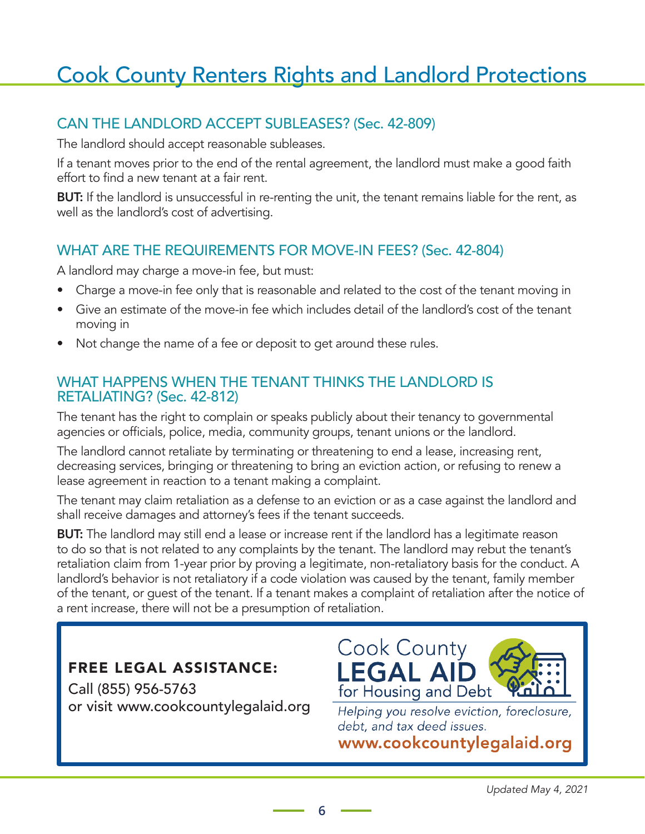#### CAN THE LANDLORD ACCEPT SUBLEASES? (Sec. 42-809)

The landlord should accept reasonable subleases.

If a tenant moves prior to the end of the rental agreement, the landlord must make a good faith effort to find a new tenant at a fair rent.

**BUT:** If the landlord is unsuccessful in re-renting the unit, the tenant remains liable for the rent, as well as the landlord's cost of advertising.

#### WHAT ARE THE REQUIREMENTS FOR MOVE-IN FEES? (Sec. 42-804)

A landlord may charge a move-in fee, but must:

- Charge a move-in fee only that is reasonable and related to the cost of the tenant moving in
- Give an estimate of the move-in fee which includes detail of the landlord's cost of the tenant moving in
- Not change the name of a fee or deposit to get around these rules.

#### WHAT HAPPENS WHEN THE TENANT THINKS THE LANDLORD IS RETALIATING? (Sec. 42-812)

The tenant has the right to complain or speaks publicly about their tenancy to governmental agencies or officials, police, media, community groups, tenant unions or the landlord.

The landlord cannot retaliate by terminating or threatening to end a lease, increasing rent, decreasing services, bringing or threatening to bring an eviction action, or refusing to renew a lease agreement in reaction to a tenant making a complaint.

The tenant may claim retaliation as a defense to an eviction or as a case against the landlord and shall receive damages and attorney's fees if the tenant succeeds.

**BUT:** The landlord may still end a lease or increase rent if the landlord has a legitimate reason to do so that is not related to any complaints by the tenant. The landlord may rebut the tenant's retaliation claim from 1-year prior by proving a legitimate, non-retaliatory basis for the conduct. A landlord's behavior is not retaliatory if a code violation was caused by the tenant, family member of the tenant, or guest of the tenant. If a tenant makes a complaint of retaliation after the notice of a rent increase, there will not be a presumption of retaliation.

**6**

#### FREE LEGAL ASSISTANCE:

Call (855) 956-5763 or visit www.cookcountylegalaid.org



Helping you resolve eviction, foreclosure, debt, and tax deed issues.

www.cookcountylegalaid.org